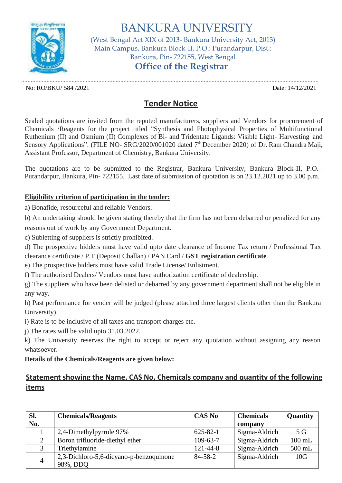

BANKURA UNIVERSITY (West Bengal Act XIX of 2013- Bankura University Act, 2013) Main Campus, Bankura Block-II, P.O.: Purandarpur, Dist.: Bankura, Pin- 722155, West Bengal **Office of the Registrar**

No: RO/BKU/ 584 /2021 Date: 14/12/2021

.............................................................................................................................................................................................

## **Tender Notice**

Sealed quotations are invited from the reputed manufacturers, suppliers and Vendors for procurement of Chemicals /Reagents for the project titled "Synthesis and Photophysical Properties of Multifunctional Ruthenium (II) and Osmium (II) Complexes of Bi- and Tridentate Ligands: Visible Light- Harvesting and Sensory Applications". (FILE NO- SRG/2020/001020 dated 7<sup>th</sup> December 2020) of Dr. Ram Chandra Maji, Assistant Professor, Department of Chemistry, Bankura University.

The quotations are to be submitted to the Registrar, Bankura University, Bankura Block-II, P.O.- Purandarpur, Bankura, Pin- 722155. Last date of submission of quotation is on 23.12.2021 up to 3.00 p.m.

## **Eligibility criterion of participation in the tender:**

a) Bonafide, resourceful and reliable Vendors.

b) An undertaking should be given stating thereby that the firm has not been debarred or penalized for any

reasons out of work by any Government Department.

c) Subletting of suppliers is strictly prohibited.

d) The prospective bidders must have valid upto date clearance of Income Tax return / Professional Tax clearance certificate / P.T (Deposit Challan) / PAN Card / **GST registration certificate**.

e) The prospective bidders must have valid Trade License/ Enlistment.

f) The authorised Dealers/ Vendors must have authorization certificate of dealership.

g) The suppliers who have been delisted or debarred by any government department shall not be eligible in any way.

h) Past performance for vender will be judged (please attached three largest clients other than the Bankura University).

i) Rate is to be inclusive of all taxes and transport charges etc.

j) The rates will be valid upto 31.03.2022.

k) The University reserves the right to accept or reject any quotation without assigning any reason whatsoever.

## **Details of the Chemicals/Reagents are given below:**

## **Statement showing the Name, CAS No, Chemicals company and quantity of the following items**

| SI.            | <b>Chemicals/Reagents</b>               | <b>CAS No</b>  | <b>Chemicals</b> | <b>Quantity</b> |
|----------------|-----------------------------------------|----------------|------------------|-----------------|
| No.            |                                         |                | company          |                 |
|                | 2,4-Dimethylpyrrole 97%                 | $625 - 82 - 1$ | Sigma-Aldrich    | 5 <sub>G</sub>  |
|                | Boron trifluoride-diethyl ether         | $109 - 63 - 7$ | Sigma-Aldrich    | $100$ mL        |
|                | Triethylamine                           | 121-44-8       | Sigma-Aldrich    | 500 mL          |
| $\overline{4}$ | 2,3-Dichloro-5,6-dicyano-p-benzoquinone | $84 - 58 - 2$  | Sigma-Aldrich    | 10G             |
|                | 98%, DDQ                                |                |                  |                 |